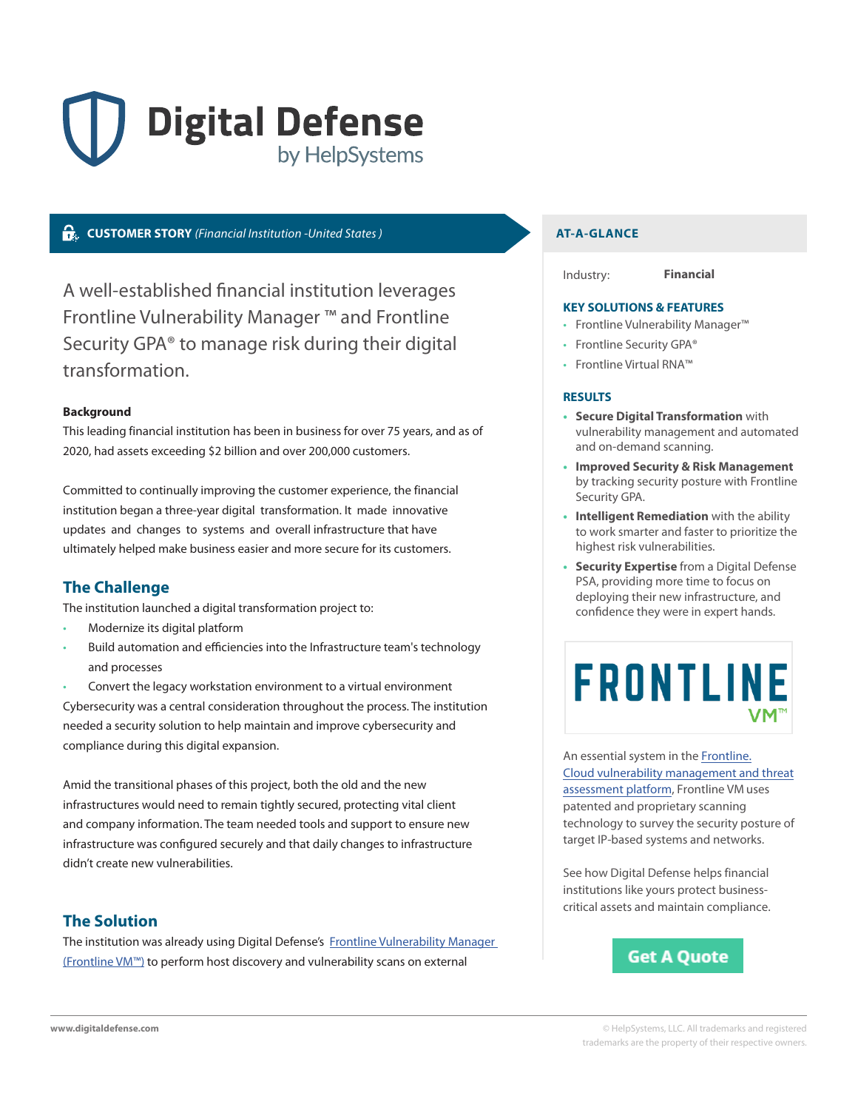# **Digital Defense** by HelpSystems

# **CUSTOMER STORY** *(Financial Institution -United States )* **AT-A-GLANCE**

A well-established financial institution leverages Frontline Vulnerability Manager ™ and Frontline Security GPA® to manage risk during their digital transformation.

### **Background**

This leading financial institution has been in business for over 75 years, and as of 2020, had assets exceeding \$2 billion and over 200,000 customers.

Committed to continually improving the customer experience, the financial institution began a three-year digital transformation. It made innovative updates and changes to systems and overall infrastructure that have ultimately helped make business easier and more secure for its customers.

# **The Challenge**

The institution launched a digital transformation project to:

- Modernize its digital platform
- Build automation and efficiencies into the Infrastructure team's technology and processes

• Convert the legacy workstation environment to a virtual environment Cybersecurity was a central consideration throughout the process. The institution needed a security solution to help maintain and improve cybersecurity and compliance during this digital expansion.

Amid the transitional phases of this project, both the old and the new infrastructures would need to remain tightly secured, protecting vital client and company information. The team needed tools and support to ensure new infrastructure was configured securely and that daily changes to infrastructure didn't create new vulnerabilities.

# **The Solution**

The institution was already using Digital Defense's Frontline Vulnerability Manager [\(Frontline VM™\)](https://www.digitaldefense.com/platform/frontline-vm/?source=finusecase) to perform host discovery and vulnerability scans on external

Industry: **Financial**

#### **KEY SOLUTIONS & FEATURES**

- Frontline Vulnerability Manager™
- Frontline Security GPA®
- Frontline Virtual RNA™

#### **RESULTS**

- **• Secure Digital Transformation** with vulnerability management and automated and on-demand scanning.
- **• Improved Security & Risk Management**  by tracking security posture with Frontline Security GPA.
- **• Intelligent Remediation** with the ability to work smarter and faster to prioritize the highest risk vulnerabilities.
- **• Security Expertise** from a Digital Defense PSA, providing more time to focus on deploying their new infrastructure, and confidence they were in expert hands.



An essential system in the [Frontline.](https://www.digitaldefense.com/platform/frontline-vm/) [Cloud vulnerability management and threat](https://www.digitaldefense.com/platform/frontline-vm/)  assessment platform, Frontline VM uses patented and proprietary scanning technology to survey the security posture of target IP-based systems and networks.

See how Digital Defense helps financial institutions like yours protect businesscritical assets and maintain compliance.

# **Get A Quote**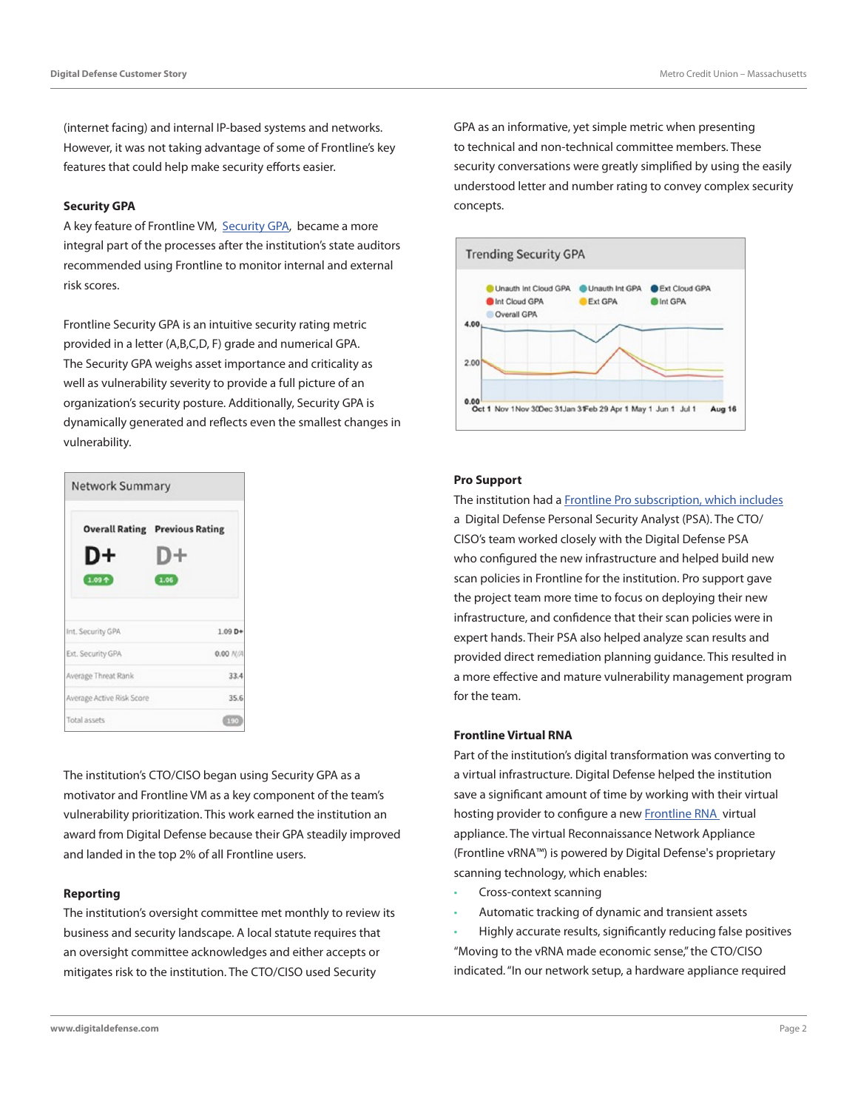(internet facing) and internal IP-based systems and networks. However, it was not taking advantage of some of Frontline's key features that could help make security efforts easier.

#### **Security GPA**

A key feature of Frontline VM, [Security GPA](https://www.digitaldefense.com/frontline-security-gpa/), became a more integral part of the processes after the institution's state auditors recommended using Frontline to monitor internal and external risk scores.

Frontline Security GPA is an intuitive security rating metric provided in a letter (A,B,C,D, F) grade and numerical GPA. The Security GPA weighs asset importance and criticality as well as vulnerability severity to provide a full picture of an organization's security posture. Additionally, Security GPA is dynamically generated and reflects even the smallest changes in vulnerability.



The institution's CTO/CISO began using Security GPA as a motivator and Frontline VM as a key component of the team's vulnerability prioritization. This work earned the institution an award from Digital Defense because their GPA steadily improved and landed in the top 2% of all Frontline users.

#### **Reporting**

The institution's oversight committee met monthly to review its business and security landscape. A local statute requires that an oversight committee acknowledges and either accepts or mitigates risk to the institution. The CTO/CISO used Security

GPA as an informative, yet simple metric when presenting to technical and non-technical committee members. These security conversations were greatly simplified by using the easily understood letter and number rating to convey complex security concepts.



#### **Pro Support**

The institution had a [Frontline Pro subscription, which includes](https://www.digitaldefense.com/cloud-subscriptions/frontline-pro/) a Digital Defense Personal Security Analyst (PSA). The CTO/ CISO's team worked closely with the Digital Defense PSA who configured the new infrastructure and helped build new scan policies in Frontline for the institution. Pro support gave the project team more time to focus on deploying their new infrastructure, and confidence that their scan policies were in expert hands. Their PSA also helped analyze scan results and provided direct remediation planning guidance. This resulted in a more effective and mature vulnerability management program for the team.

#### **Frontline Virtual RNA**

Part of the institution's digital transformation was converting to a virtual infrastructure. Digital Defense helped the institution save a significant amount of time by working with their virtual hosting provider to configure a new [Frontline RNA](https://www.digitaldefense.com/frontline-rna/frontline-rna-info/) virtual appliance. The virtual Reconnaissance Network Appliance (Frontline vRNA™) is powered by Digital Defense's proprietary scanning technology, which enables:

- Cross-context scanning
- Automatic tracking of dynamic and transient assets

• Highly accurate results, significantly reducing false positives "Moving to the vRNA made economic sense," the CTO/CISO indicated. "In our network setup, a hardware appliance required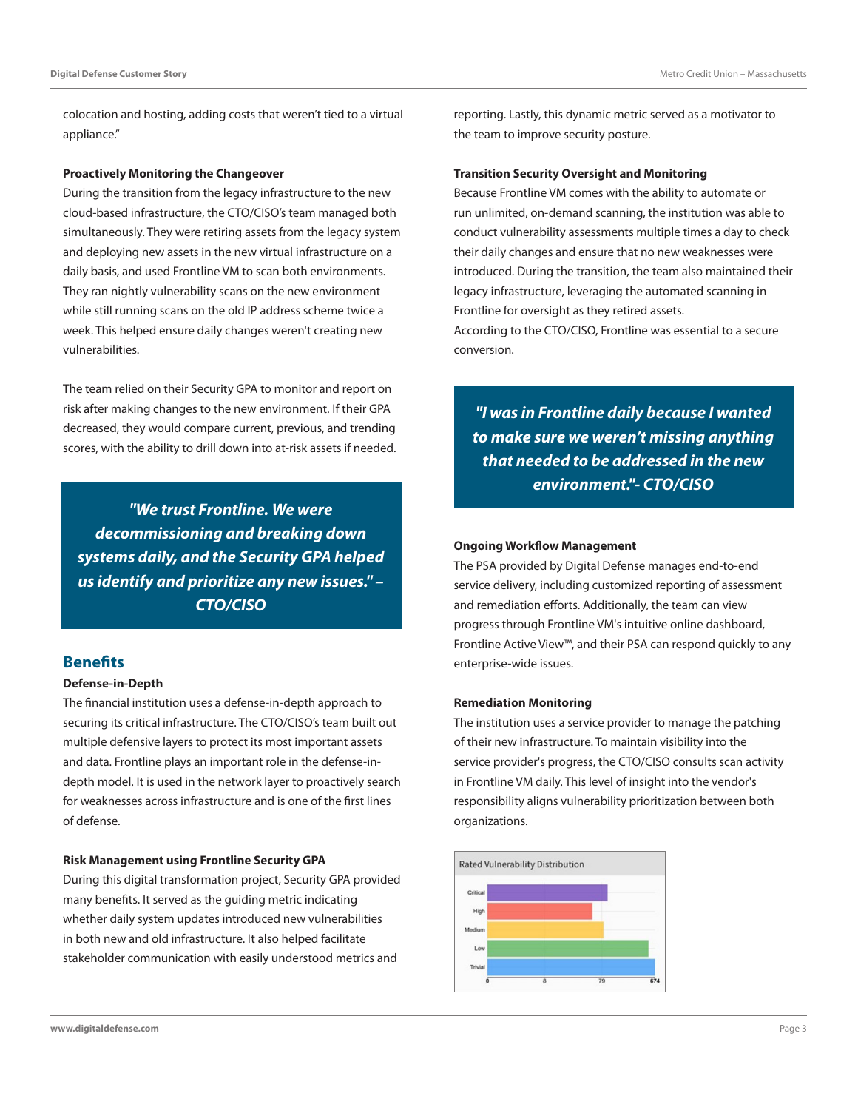colocation and hosting, adding costs that weren't tied to a virtual appliance."

#### **Proactively Monitoring the Changeover**

During the transition from the legacy infrastructure to the new cloud-based infrastructure, the CTO/CISO's team managed both simultaneously. They were retiring assets from the legacy system and deploying new assets in the new virtual infrastructure on a daily basis, and used Frontline VM to scan both environments. They ran nightly vulnerability scans on the new environment while still running scans on the old IP address scheme twice a week. This helped ensure daily changes weren't creating new vulnerabilities.

The team relied on their Security GPA to monitor and report on risk after making changes to the new environment. If their GPA decreased, they would compare current, previous, and trending scores, with the ability to drill down into at-risk assets if needed.

*"We trust Frontline. We were decommissioning and breaking down systems daily, and the Security GPA helped us identify and prioritize any new issues." – CTO/CISO*

## **Benefits**

#### **Defense-in-Depth**

The financial institution uses a defense-in-depth approach to securing its critical infrastructure. The CTO/CISO's team built out multiple defensive layers to protect its most important assets and data. Frontline plays an important role in the defense-indepth model. It is used in the network layer to proactively search for weaknesses across infrastructure and is one of the first lines of defense.

#### **Risk Management using Frontline Security GPA**

During this digital transformation project, Security GPA provided many benefits. It served as the guiding metric indicating whether daily system updates introduced new vulnerabilities in both new and old infrastructure. It also helped facilitate stakeholder communication with easily understood metrics and

reporting. Lastly, this dynamic metric served as a motivator to the team to improve security posture.

#### **Transition Security Oversight and Monitoring**

Because Frontline VM comes with the ability to automate or run unlimited, on-demand scanning, the institution was able to conduct vulnerability assessments multiple times a day to check their daily changes and ensure that no new weaknesses were introduced. During the transition, the team also maintained their legacy infrastructure, leveraging the automated scanning in Frontline for oversight as they retired assets. According to the CTO/CISO, Frontline was essential to a secure conversion.

*"I was in Frontline daily because I wanted to make sure we weren't missing anything that needed to be addressed in the new environment."- CTO/CISO*

#### **Ongoing Workflow Management**

The PSA provided by Digital Defense manages end-to-end service delivery, including customized reporting of assessment and remediation efforts. Additionally, the team can view progress through Frontline VM's intuitive online dashboard, Frontline Active View™, and their PSA can respond quickly to any enterprise-wide issues.

#### **Remediation Monitoring**

The institution uses a service provider to manage the patching of their new infrastructure. To maintain visibility into the service provider's progress, the CTO/CISO consults scan activity in Frontline VM daily. This level of insight into the vendor's responsibility aligns vulnerability prioritization between both organizations.